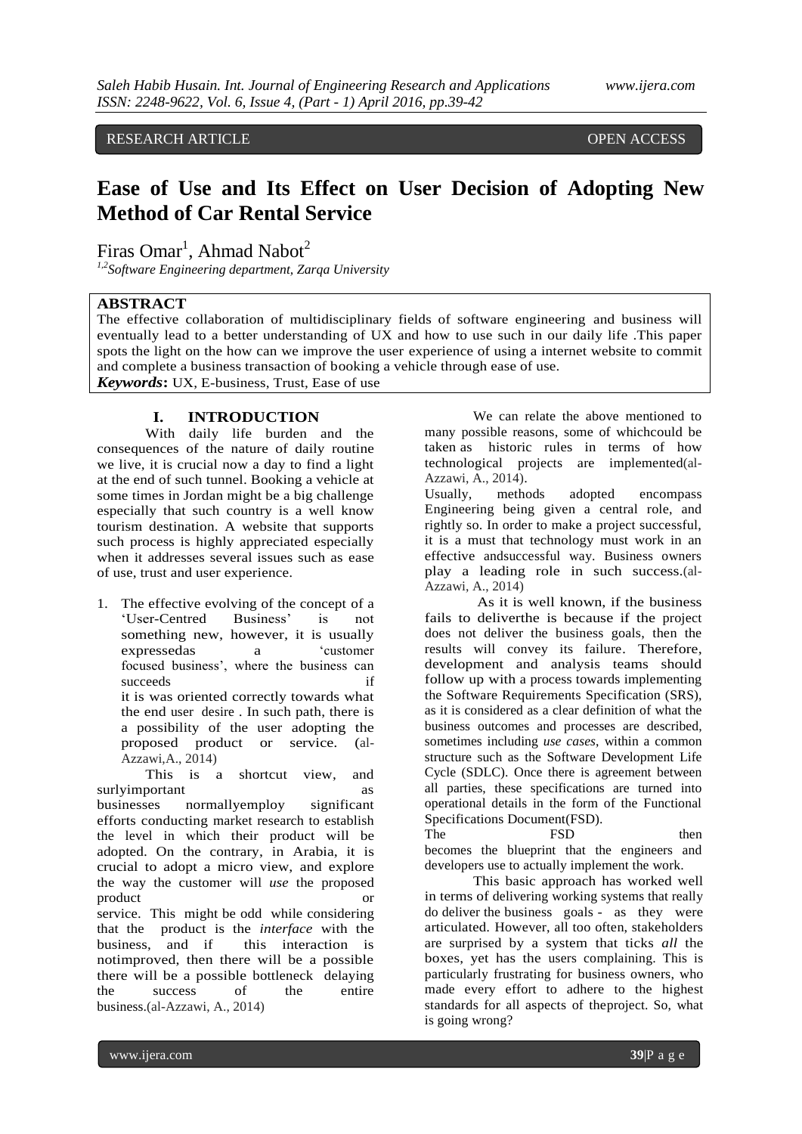RESEARCH ARTICLE **CONSERVERS** OPEN ACCESS

# **Ease of Use and Its Effect on User Decision of Adopting New Method of Car Rental Service**

Firas Omar<sup>1</sup>, Ahmad Nabot<sup>2</sup>

*1,2Software Engineering department, Zarqa University*

## **ABSTRACT**

The effective collaboration of multidisciplinary fields of software engineering and business will eventually lead to a better understanding of UX and how to use such in our daily life .This paper spots the light on the how can we improve the user experience of using a internet website to commit and complete a business transaction of booking a vehicle through ease of use.

*Keywords***:** UX, E-business, Trust, Ease of use

## **I. INTRODUCTION**

With daily life burden and the consequences of the nature of daily routine we live, it is crucial now a day to find a light at the end of such tunnel. Booking a vehicle at some times in Jordan might be a big challenge especially that such country is a well know tourism destination. A website that supports such process is highly appreciated especially when it addresses several issues such as ease of use, trust and user experience.

1. The effective evolving of the concept of a "User-Centred Business" is not something new, however, it is usually expressedas a "customer focused business", where the business can succeeds if it is was oriented correctly towards what the end user desire . In such path, there is a possibility of the user adopting the proposed product or service. (al-Azzawi,A., 2014)

This is a shortcut view, and surlyimportant as businesses normallyemploy significant efforts conducting market research to establish the level in which their product will be adopted. On the contrary, in Arabia, it is crucial to adopt a micro view, and explore the way the customer will *use* the proposed product service. This might be odd while considering that the product is the *interface* with the business, and if this interaction is notimproved, then there will be a possible there will be a possible bottleneck delaying the success of the entire business.(al-Azzawi, A., 2014)

We can relate the above mentioned to many possible reasons, some of whichcould be taken as historic rules in terms of how technological projects are implemented(al-Azzawi, A., 2014).

Usually, methods adopted encompass Engineering being given a central role, and rightly so. In order to make a project successful, it is a must that technology must work in an effective andsuccessful way. Business owners play a leading role in such success.(al-Azzawi, A., 2014)

As it is well known, if the business fails to deliverthe is because if the project does not deliver the business goals, then the results will convey its failure. Therefore, development and analysis teams should follow up with a process towards implementing the Software Requirements Specification (SRS), as it is considered as a clear definition of what the business outcomes and processes are described, sometimes including *use cases*, within a common structure such as the Software Development Life Cycle (SDLC). Once there is agreement between all parties, these specifications are turned into operational details in the form of the Functional Specifications Document(FSD).

The FSD then becomes the blueprint that the engineers and developers use to actually implement the work.

This basic approach has worked well in terms of delivering working systems that really do deliver the business goals - as they were articulated. However, all too often, stakeholders are surprised by a system that ticks *all* the boxes, yet has the users complaining. This is particularly frustrating for business owners, who made every effort to adhere to the highest standards for all aspects of theproject. So, what is going wrong?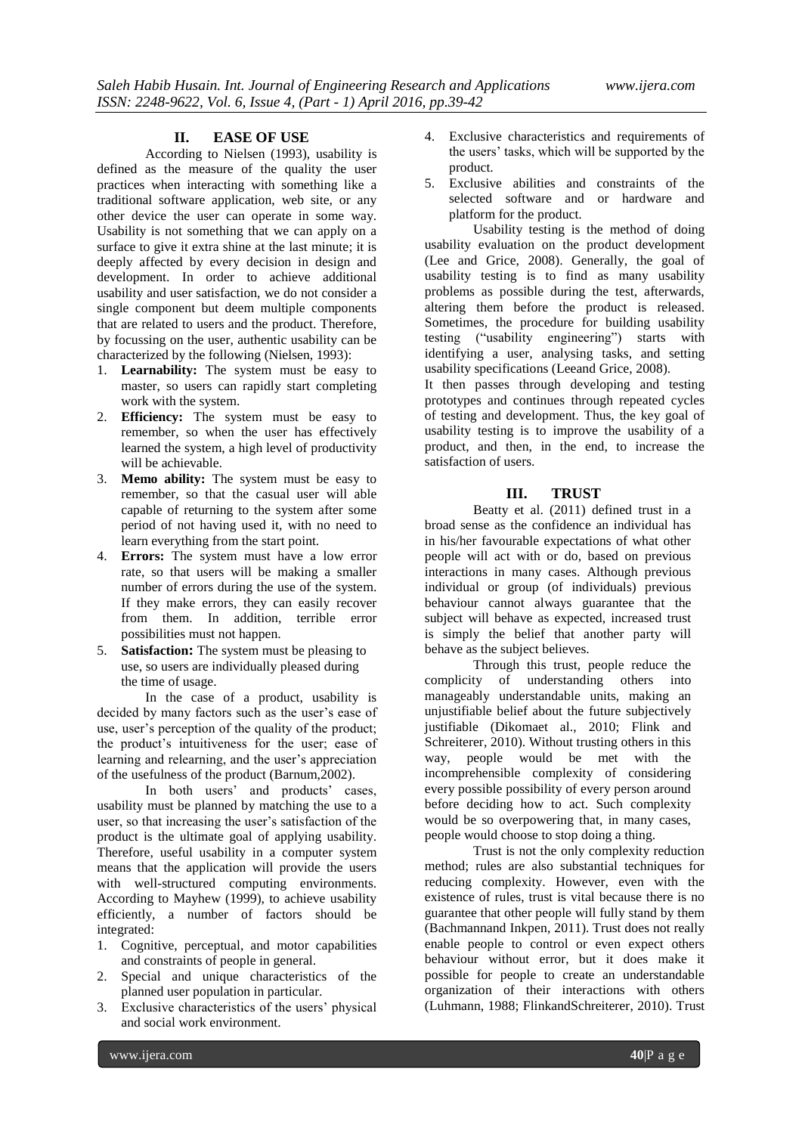#### **II. EASE OF USE**

According to Nielsen (1993), usability is defined as the measure of the quality the user practices when interacting with something like a traditional software application, web site, or any other device the user can operate in some way. Usability is not something that we can apply on a surface to give it extra shine at the last minute; it is deeply affected by every decision in design and development. In order to achieve additional usability and user satisfaction, we do not consider a single component but deem multiple components that are related to users and the product. Therefore, by focussing on the user, authentic usability can be characterized by the following (Nielsen, 1993):

- 1. **Learnability:** The system must be easy to master, so users can rapidly start completing work with the system.
- 2. **Efficiency:** The system must be easy to remember, so when the user has effectively learned the system, a high level of productivity will be achievable.
- 3. **Memo ability:** The system must be easy to remember, so that the casual user will able capable of returning to the system after some period of not having used it, with no need to learn everything from the start point.
- 4. **Errors:** The system must have a low error rate, so that users will be making a smaller number of errors during the use of the system. If they make errors, they can easily recover from them. In addition, terrible error possibilities must not happen.
- 5. **Satisfaction:** The system must be pleasing to use, so users are individually pleased during the time of usage.

In the case of a product, usability is decided by many factors such as the user's ease of use, user's perception of the quality of the product; the product"s intuitiveness for the user; ease of learning and relearning, and the user's appreciation of the usefulness of the product (Barnum,2002).

In both users' and products' cases, usability must be planned by matching the use to a user, so that increasing the user"s satisfaction of the product is the ultimate goal of applying usability. Therefore, useful usability in a computer system means that the application will provide the users with well-structured computing environments. According to Mayhew (1999), to achieve usability efficiently, a number of factors should be integrated:

- 1. Cognitive, perceptual, and motor capabilities and constraints of people in general.
- 2. Special and unique characteristics of the planned user population in particular.
- 3. Exclusive characteristics of the users' physical and social work environment.
- 4. Exclusive characteristics and requirements of the users" tasks, which will be supported by the product.
- 5. Exclusive abilities and constraints of the selected software and or hardware and platform for the product.

Usability testing is the method of doing usability evaluation on the product development (Lee and Grice, 2008). Generally, the goal of usability testing is to find as many usability problems as possible during the test, afterwards, altering them before the product is released. Sometimes, the procedure for building usability testing ("usability engineering") starts with identifying a user, analysing tasks, and setting usability specifications (Leeand Grice, 2008).

It then passes through developing and testing prototypes and continues through repeated cycles of testing and development. Thus, the key goal of usability testing is to improve the usability of a product, and then, in the end, to increase the satisfaction of users.

#### **III. TRUST**

Beatty et al. (2011) defined trust in a broad sense as the confidence an individual has in his/her favourable expectations of what other people will act with or do, based on previous interactions in many cases. Although previous individual or group (of individuals) previous behaviour cannot always guarantee that the subject will behave as expected, increased trust is simply the belief that another party will behave as the subject believes.

Through this trust, people reduce the complicity of understanding others into manageably understandable units, making an unjustifiable belief about the future subjectively justifiable (Dikomaet al., 2010; Flink and Schreiterer, 2010). Without trusting others in this way, people would be met with the incomprehensible complexity of considering every possible possibility of every person around before deciding how to act. Such complexity would be so overpowering that, in many cases, people would choose to stop doing a thing.

Trust is not the only complexity reduction method; rules are also substantial techniques for reducing complexity. However, even with the existence of rules, trust is vital because there is no guarantee that other people will fully stand by them (Bachmannand Inkpen, 2011). Trust does not really enable people to control or even expect others behaviour without error, but it does make it possible for people to create an understandable organization of their interactions with others (Luhmann, 1988; FlinkandSchreiterer, 2010). Trust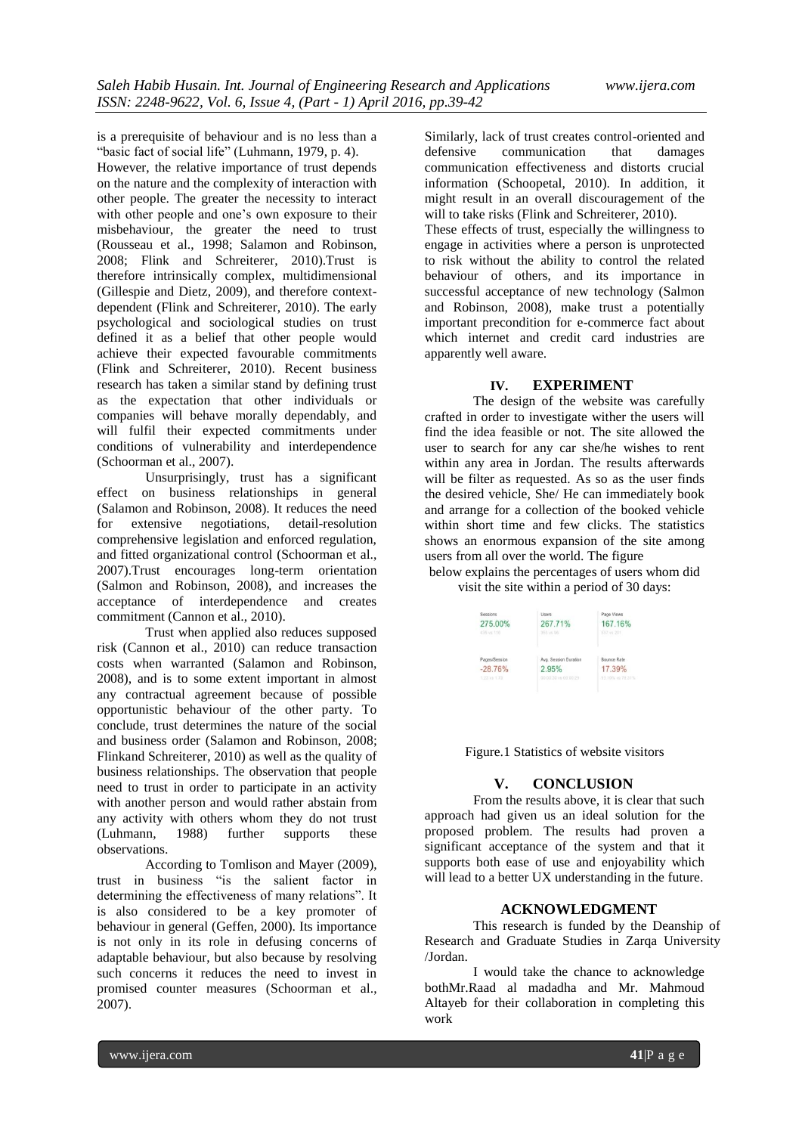is a prerequisite of behaviour and is no less than a "basic fact of social life" (Luhmann, 1979, p. 4).

However, the relative importance of trust depends on the nature and the complexity of interaction with other people. The greater the necessity to interact with other people and one's own exposure to their misbehaviour, the greater the need to trust (Rousseau et al., 1998; Salamon and Robinson, 2008; Flink and Schreiterer, 2010).Trust is therefore intrinsically complex, multidimensional (Gillespie and Dietz, 2009), and therefore contextdependent (Flink and Schreiterer, 2010). The early psychological and sociological studies on trust defined it as a belief that other people would achieve their expected favourable commitments (Flink and Schreiterer, 2010). Recent business research has taken a similar stand by defining trust as the expectation that other individuals or companies will behave morally dependably, and will fulfil their expected commitments under conditions of vulnerability and interdependence (Schoorman et al., 2007).

Unsurprisingly, trust has a significant effect on business relationships in general (Salamon and Robinson, 2008). It reduces the need<br>for extensive negotiations, detail-resolution for extensive negotiations, detail-resolution comprehensive legislation and enforced regulation, and fitted organizational control (Schoorman et al., 2007).Trust encourages long-term orientation (Salmon and Robinson, 2008), and increases the acceptance of interdependence and creates commitment (Cannon et al., 2010).

Trust when applied also reduces supposed risk (Cannon et al., 2010) can reduce transaction costs when warranted (Salamon and Robinson, 2008), and is to some extent important in almost any contractual agreement because of possible opportunistic behaviour of the other party. To conclude, trust determines the nature of the social and business order (Salamon and Robinson, 2008; Flinkand Schreiterer, 2010) as well as the quality of business relationships. The observation that people need to trust in order to participate in an activity with another person and would rather abstain from any activity with others whom they do not trust<br>(Luhmann, 1988) further supports these (Luhmann, 1988) further supports these observations.

According to Tomlison and Mayer (2009), trust in business "is the salient factor in determining the effectiveness of many relations". It is also considered to be a key promoter of behaviour in general (Geffen, 2000). Its importance is not only in its role in defusing concerns of adaptable behaviour, but also because by resolving such concerns it reduces the need to invest in promised counter measures (Schoorman et al., 2007).

Similarly, lack of trust creates control-oriented and defensive communication that damages communication effectiveness and distorts crucial information (Schoopetal, 2010). In addition, it might result in an overall discouragement of the will to take risks (Flink and Schreiterer, 2010).

These effects of trust, especially the willingness to engage in activities where a person is unprotected to risk without the ability to control the related behaviour of others, and its importance in successful acceptance of new technology (Salmon and Robinson, 2008), make trust a potentially important precondition for e-commerce fact about which internet and credit card industries are apparently well aware.

### **IV. EXPERIMENT**

The design of the website was carefully crafted in order to investigate wither the users will find the idea feasible or not. The site allowed the user to search for any car she/he wishes to rent within any area in Jordan. The results afterwards will be filter as requested. As so as the user finds the desired vehicle, She/ He can immediately book and arrange for a collection of the booked vehicle within short time and few clicks. The statistics shows an enormous expansion of the site among users from all over the world. The figure

below explains the percentages of users whom did visit the site within a period of 30 days:

| Sessions      | Users                 | Page Views       |
|---------------|-----------------------|------------------|
| 275.00%       | 267.71%               | 167.16%          |
| 435 vs 116    | 353 ys 56             | 537 vs 201       |
| Pages/Session | Avg. Session Duration | Bounce Rate      |
| $-28.76%$     | 2.95%                 | 17.39%           |
| 1.23 vo 1.73  | 00:00:30 vs 00:00:29  | 93.10% vs 79.31% |

Figure.1 Statistics of website visitors

## **V. CONCLUSION**

From the results above, it is clear that such approach had given us an ideal solution for the proposed problem. The results had proven a significant acceptance of the system and that it supports both ease of use and enjoyability which will lead to a better UX understanding in the future.

#### **ACKNOWLEDGMENT**

This research is funded by the Deanship of Research and Graduate Studies in Zarqa University /Jordan.

I would take the chance to acknowledge bothMr.Raad al madadha and Mr. Mahmoud Altayeb for their collaboration in completing this work